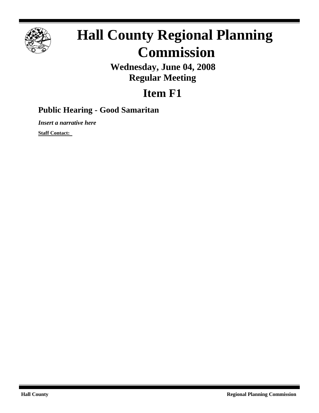

# **Hall County Regional Planning Commission**

**Wednesday, June 04, 2008 Regular Meeting**

## **Item F1**

### **Public Hearing - Good Samaritan**

*Insert a narrative here*

**Staff Contact:**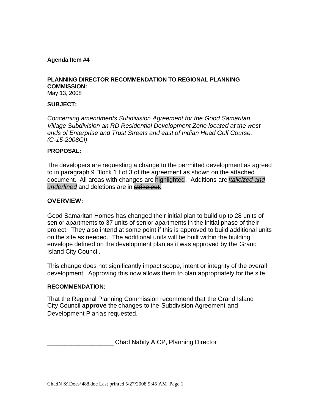#### **Agenda Item #4**

#### **PLANNING DIRECTOR RECOMMENDATION TO REGIONAL PLANNING COMMISSION:**

May 13, 2008

#### **SUBJECT:**

*Concerning amendments Subdivision Agreement for the Good Samaritan Village Subdivision an RD Residential Development Zone located at the west ends of Enterprise and Trust Streets and east of Indian Head Golf Course. (C-15-2008GI)* 

#### **PROPOSAL:**

The developers are requesting a change to the permitted development as agreed to in paragraph 9 Block 1 Lot 3 of the agreement as shown on the attached document. All areas with changes are highlighted. Additions are *Italicized and underlined* and deletions are in strike out.

#### **OVERVIEW:**

Good Samaritan Homes has changed their initial plan to build up to 28 units of senior apartments to 37 units of senior apartments in the initial phase of their project. They also intend at some point if this is approved to build additional units on the site as needed. The additional units will be built within the building envelope defined on the development plan as it was approved by the Grand Island City Council.

This change does not significantly impact scope, intent or integrity of the overall development. Approving this now allows them to plan appropriately for the site.

#### **RECOMMENDATION:**

That the Regional Planning Commission recommend that the Grand Island City Council **approve** the changes to the Subdivision Agreement and Development Planas requested.

\_\_\_\_\_\_\_\_\_\_\_\_\_\_\_\_\_\_\_ Chad Nabity AICP, Planning Director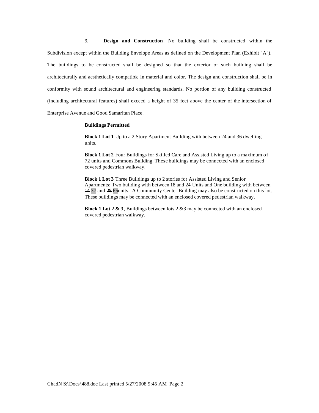9. **Design and Construction**. No building shall be constructed within the Subdivision except within the Building Envelope Areas as defined on the Development Plan (Exhibit "A"). The buildings to be constructed shall be designed so that the exterior of such building shall be architecturally and aesthetically compatible in material and color. The design and construction shall be in conformity with sound architectural and engineering standards. No portion of any building constructed (including architectural features) shall exceed a height of 35 feet above the center of the intersection of Enterprise Avenue and Good Samaritan Place.

#### **Buildings Permitted**

**Block 1 Lot 1** Up to a 2 Story Apartment Building with between 24 and 36 dwelling units.

**Block 1 Lot 2** Four Buildings for Skilled Care and Assisted Living up to a maximum of 72 units and Commons Building. These buildings may be connected with an enclosed covered pedestrian walkway.

**Block 1 Lot 3** Three Buildings up to 2 stories for Assisted Living and Senior Apartments; Two building with between 18 and 24 Units and One building with between 14 37 and 28 65units. A Community Center Building may also be constructed on this lot. These buildings may be connected with an enclosed covered pedestrian walkway.

**Block 1 Lot 2 & 3**, Buildings between lots 2 &3 may be connected with an enclosed covered pedestrian walkway.